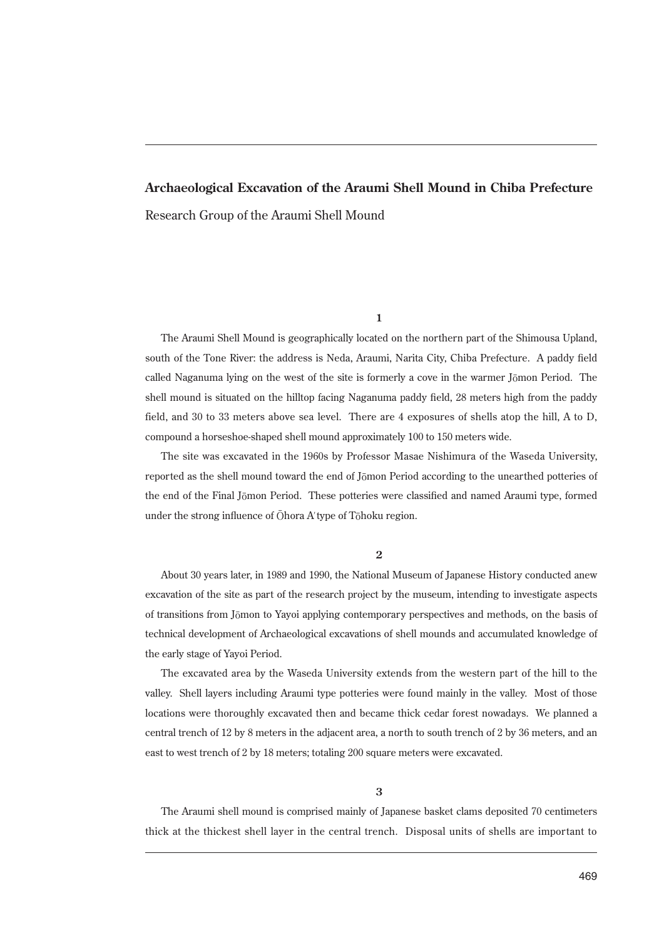## **Archaeological Excavation of the Araumi Shell Mound in Chiba Prefecture** Research Group of the Araumi Shell Mound

## **1**

The Araumi Shell Mound is geographically located on the northern part of the Shimousa Upland, south of the Tone River: the address is Neda, Araumi, Narita City, Chiba Prefecture. A paddy field called Naganuma lying on the west of the site is formerly a cove in the warmer Jōmon Period. The shell mound is situated on the hilltop facing Naganuma paddy field, 28 meters high from the paddy field, and 30 to 33 meters above sea level. There are 4 exposures of shells atop the hill, A to D, compound a horseshoe-shaped shell mound approximately 100 to 150 meters wide.

The site was excavated in the 1960s by Professor Masae Nishimura of the Waseda University, reported as the shell mound toward the end of Jōmon Period according to the unearthed potteries of the end of the Final Jōmon Period. These potteries were classified and named Araumi type, formed under the strong influence of Ōhora A' type of Tōhoku region.

## **2**

About 30 years later, in 1989 and 1990, the National Museum of Japanese History conducted anew excavation of the site as part of the research project by the museum, intending to investigate aspects of transitions from Jōmon to Yayoi applying contemporary perspectives and methods, on the basis of technical development of Archaeological excavations of shell mounds and accumulated knowledge of the early stage of Yayoi Period.

The excavated area by the Waseda University extends from the western part of the hill to the valley. Shell layers including Araumi type potteries were found mainly in the valley. Most of those locations were thoroughly excavated then and became thick cedar forest nowadays. We planned a central trench of 12 by 8 meters in the adjacent area, a north to south trench of 2 by 36 meters, and an east to west trench of 2 by 18 meters; totaling 200 square meters were excavated.

## **3**

The Araumi shell mound is comprised mainly of Japanese basket clams deposited 70 centimeters thick at the thickest shell layer in the central trench. Disposal units of shells are important to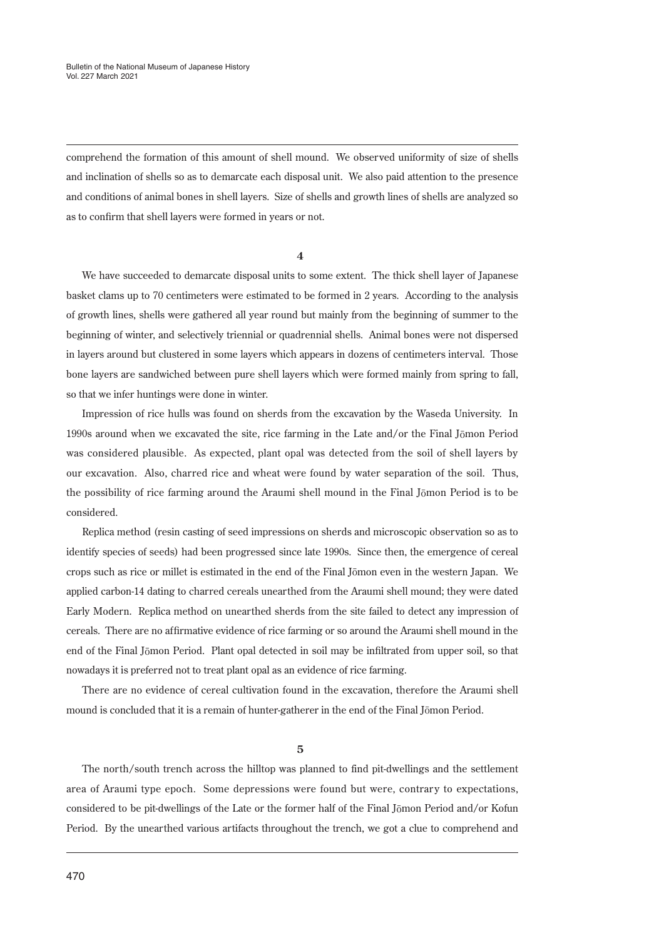comprehend the formation of this amount of shell mound. We observed uniformity of size of shells and inclination of shells so as to demarcate each disposal unit. We also paid attention to the presence and conditions of animal bones in shell layers. Size of shells and growth lines of shells are analyzed so as to confirm that shell layers were formed in years or not.

**4**

We have succeeded to demarcate disposal units to some extent. The thick shell layer of Japanese basket clams up to 70 centimeters were estimated to be formed in 2 years. According to the analysis of growth lines, shells were gathered all year round but mainly from the beginning of summer to the beginning of winter, and selectively triennial or quadrennial shells. Animal bones were not dispersed in layers around but clustered in some layers which appears in dozens of centimeters interval. Those bone layers are sandwiched between pure shell layers which were formed mainly from spring to fall, so that we infer huntings were done in winter.

Impression of rice hulls was found on sherds from the excavation by the Waseda University. In 1990s around when we excavated the site, rice farming in the Late and/or the Final Jōmon Period was considered plausible. As expected, plant opal was detected from the soil of shell layers by our excavation. Also, charred rice and wheat were found by water separation of the soil. Thus, the possibility of rice farming around the Araumi shell mound in the Final Jōmon Period is to be considered.

Replica method (resin casting of seed impressions on sherds and microscopic observation so as to identify species of seeds) had been progressed since late 1990s. Since then, the emergence of cereal crops such as rice or millet is estimated in the end of the Final Jōmon even in the western Japan. We applied carbon-14 dating to charred cereals unearthed from the Araumi shell mound; they were dated Early Modern. Replica method on unearthed sherds from the site failed to detect any impression of cereals. There are no affirmative evidence of rice farming or so around the Araumi shell mound in the end of the Final Jōmon Period. Plant opal detected in soil may be infiltrated from upper soil, so that nowadays it is preferred not to treat plant opal as an evidence of rice farming.

There are no evidence of cereal cultivation found in the excavation, therefore the Araumi shell mound is concluded that it is a remain of hunter-gatherer in the end of the Final Jōmon Period.

**5**

The north/south trench across the hilltop was planned to find pit-dwellings and the settlement area of Araumi type epoch. Some depressions were found but were, contrary to expectations, considered to be pit-dwellings of the Late or the former half of the Final Jōmon Period and/or Kofun Period. By the unearthed various artifacts throughout the trench, we got a clue to comprehend and